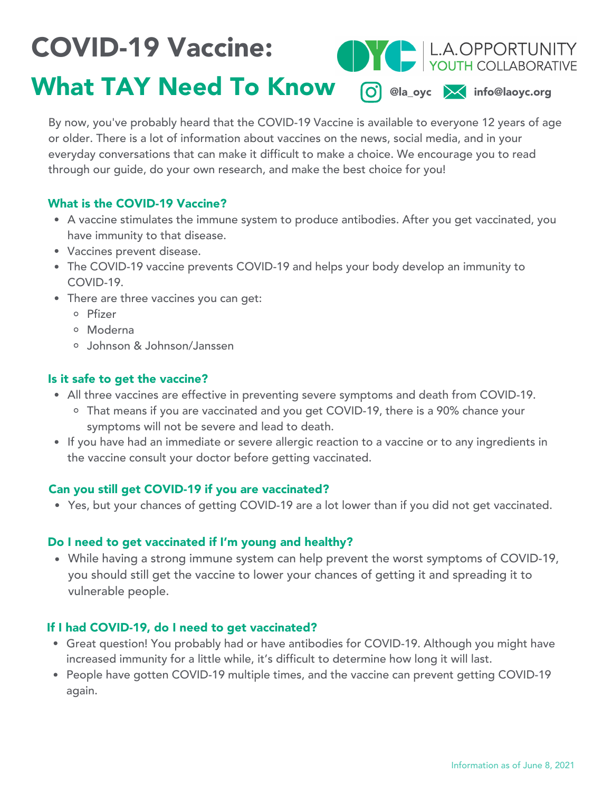# COVID-19 Vaccine:



# What TAY Need To Know O @la\_oyc X info@laoyc.org

By now, you've probably heard that the COVID-19 Vaccine is available to everyone 12 years of age or older. There is a lot of information about vaccines on the news, social media, and in your everyday conversations that can make it difficult to make a choice. We encourage you to read through our guide, do your own research, and make the best choice for you!

## What is the COVID-19 Vaccine?

- A vaccine stimulates the immune system to produce antibodies. After you get vaccinated, you have immunity to that disease.
- Vaccines prevent disease.
- The COVID-19 vaccine prevents COVID-19 and helps your body develop an immunity to COVID-19.
- There are three vaccines you can get:
	- Pfizer
	- Moderna
	- Johnson & Johnson/Janssen

# Is it safe to get the vaccine?

- All three vaccines are effective in preventing severe symptoms and death from COVID-19.
	- That means if you are vaccinated and you get COVID-19, there is a 90% chance your symptoms will not be severe and lead to death.
- If you have had an immediate or severe allergic reaction to a vaccine or to any ingredients in the vaccine consult your doctor before getting vaccinated.

## Can you still get COVID-19 if you are vaccinated?

Yes, but your chances of getting COVID-19 are a lot lower than if you did not get vaccinated.

## Do I need to get vaccinated if I'm young and healthy?

While having a strong immune system can help prevent the worst symptoms of COVID-19, you should still get the vaccine to lower your chances of getting it and spreading it to vulnerable people.

# If I had COVID-19, do I need to get vaccinated?

- Great question! You probably had or have antibodies for COVID-19. Although you might have increased immunity for a little while, it's difficult to determine how long it will last.
- People have gotten COVID-19 multiple times, and the vaccine can prevent getting COVID-19 again.